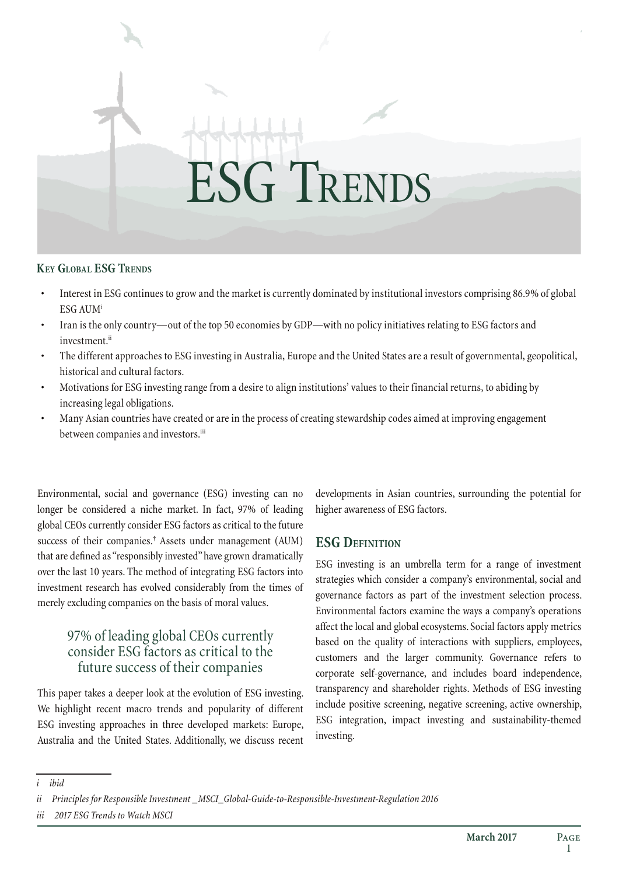

## **Key Global ESG Trends**

- Interest in ESG continues to grow and the market is currently dominated by institutional investors comprising 86.9% of global ESG AUMi
- Iran is the only country—out of the top 50 economies by GDP—with no policy initiatives relating to ESG factors and investment.<sup>ii</sup>
- The different approaches to ESG investing in Australia, Europe and the United States are a result of governmental, geopolitical, historical and cultural factors.
- Motivations for ESG investing range from a desire to align institutions' values to their financial returns, to abiding by increasing legal obligations.
- Many Asian countries have created or are in the process of creating stewardship codes aimed at improving engagement between companies and investors.<sup>iii</sup>

Environmental, social and governance (ESG) investing can no longer be considered a niche market. In fact, 97% of leading global CEOs currently consider ESG factors as critical to the future success of their companies.† Assets under management (AUM) that are defined as "responsibly invested" have grown dramatically over the last 10 years. The method of integrating ESG factors into investment research has evolved considerably from the times of merely excluding companies on the basis of moral values.

# 97% of leading global CEOs currently consider ESG factors as critical to the future success of their companies

This paper takes a deeper look at the evolution of ESG investing. We highlight recent macro trends and popularity of different ESG investing approaches in three developed markets: Europe, Australia and the United States. Additionally, we discuss recent

developments in Asian countries, surrounding the potential for higher awareness of ESG factors.

# **ESG DEFINITION**

ESG investing is an umbrella term for a range of investment strategies which consider a company's environmental, social and governance factors as part of the investment selection process. Environmental factors examine the ways a company's operations affect the local and global ecosystems. Social factors apply metrics based on the quality of interactions with suppliers, employees, customers and the larger community. Governance refers to corporate self-governance, and includes board independence, transparency and shareholder rights. Methods of ESG investing include positive screening, negative screening, active ownership, ESG integration, impact investing and sustainability-themed investing.

*i ibid*

*ii Principles for Responsible Investment \_MSCI\_Global-Guide-to-Responsible-Investment-Regulation 2016*

*iii 2017 ESG Trends to Watch MSCI*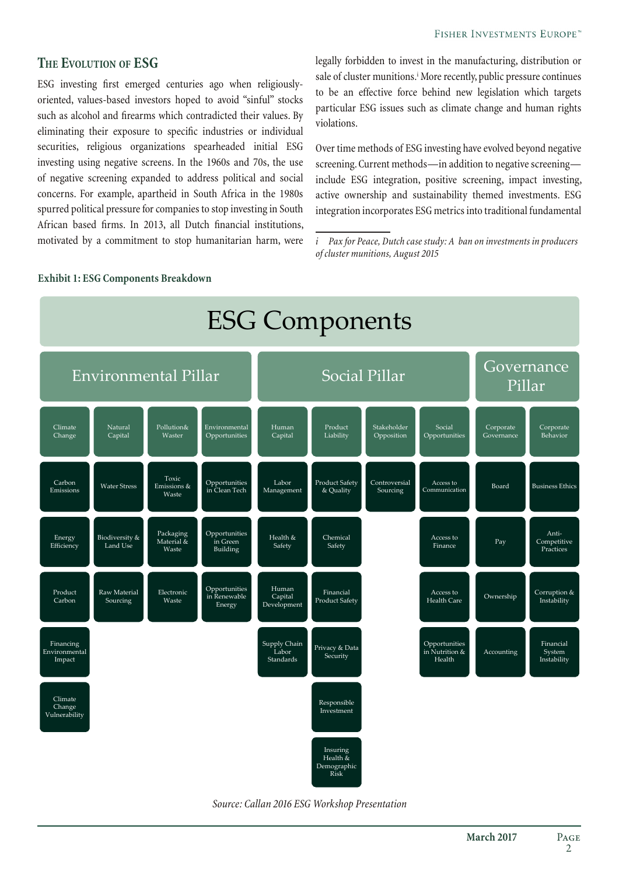# **The Evolution of ESG**

ESG investing first emerged centuries ago when religiouslyoriented, values-based investors hoped to avoid "sinful" stocks such as alcohol and firearms which contradicted their values. By eliminating their exposure to specific industries or individual securities, religious organizations spearheaded initial ESG investing using negative screens. In the 1960s and 70s, the use of negative screening expanded to address political and social concerns. For example, apartheid in South Africa in the 1980s spurred political pressure for companies to stop investing in South African based firms. In 2013, all Dutch financial institutions, motivated by a commitment to stop humanitarian harm, were

legally forbidden to invest in the manufacturing, distribution or sale of cluster munitions.<sup>i</sup> More recently, public pressure continues to be an effective force behind new legislation which targets particular ESG issues such as climate change and human rights violations.

Over time methods of ESG investing have evolved beyond negative screening. Current methods—in addition to negative screening include ESG integration, positive screening, impact investing, active ownership and sustainability themed investments. ESG integration incorporates ESG metrics into traditional fundamental

*i Pax for Peace, Dutch case study: A ban on investments in producers of cluster munitions, August 2015*

## **Exhibit 1: ESG Components Breakdown**



*Source: Callan 2016 ESG Workshop Presentation*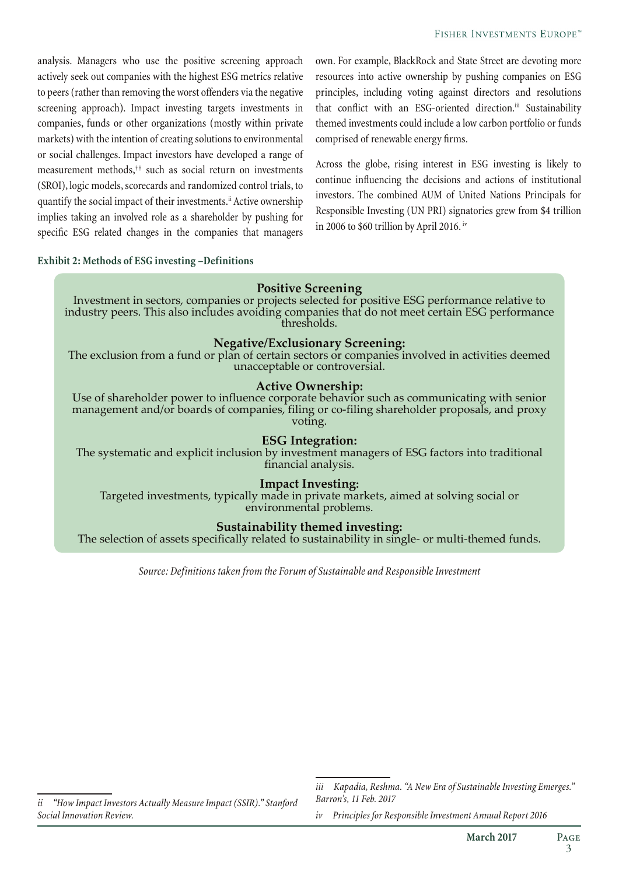analysis. Managers who use the positive screening approach actively seek out companies with the highest ESG metrics relative to peers (rather than removing the worst offenders via the negative screening approach). Impact investing targets investments in companies, funds or other organizations (mostly within private markets) with the intention of creating solutions to environmental or social challenges. Impact investors have developed a range of measurement methods,†† such as social return on investments (SROI), logic models, scorecards and randomized control trials, to quantify the social impact of their investments.<sup>ii</sup> Active ownership implies taking an involved role as a shareholder by pushing for specific ESG related changes in the companies that managers

## **Exhibit 2: Methods of ESG investing –Definitions**

own. For example, BlackRock and State Street are devoting more resources into active ownership by pushing companies on ESG principles, including voting against directors and resolutions that conflict with an ESG-oriented direction.<sup>iii</sup> Sustainability themed investments could include a low carbon portfolio or funds comprised of renewable energy firms.

Across the globe, rising interest in ESG investing is likely to continue influencing the decisions and actions of institutional investors. The combined AUM of United Nations Principals for Responsible Investing (UN PRI) signatories grew from \$4 trillion in 2006 to \$60 trillion by April 2016. iv

**Positive Screening**<br>Investment in sectors, companies or projects selected for positive ESG performance relative to industry peers. This also includes avoiding companies that do not meet certain ESG performance thresholds.

**Negative/Exclusionary Screening:**<br>The exclusion from a fund or plan of certain sectors or companies involved in activities deemed unacceptable or controversial.

**Active Ownership:**<br>Use of shareholder power to influence corporate behavior such as communicating with senior management and/or boards of companies, filing or co-filing shareholder proposals, and proxy voting.

**ESG Integration:**<br>The systematic and explicit inclusion by investment managers of ESG factors into traditional financial analysis.

## **Impact Investing:**

Targeted investments, typically made in private markets, aimed at solving social or environmental problems.

**Sustainability themed investing:**<br>The selection of assets specifically related to sustainability in single- or multi-themed funds.

*Source: Definitions taken from the Forum of Sustainable and Responsible Investment*

*ii "How Impact Investors Actually Measure Impact (SSIR)." Stanford Social Innovation Review.*

*iii Kapadia, Reshma. "A New Era of Sustainable Investing Emerges." Barron's, 11 Feb. 2017*

*iv Principles for Responsible Investment Annual Report 2016*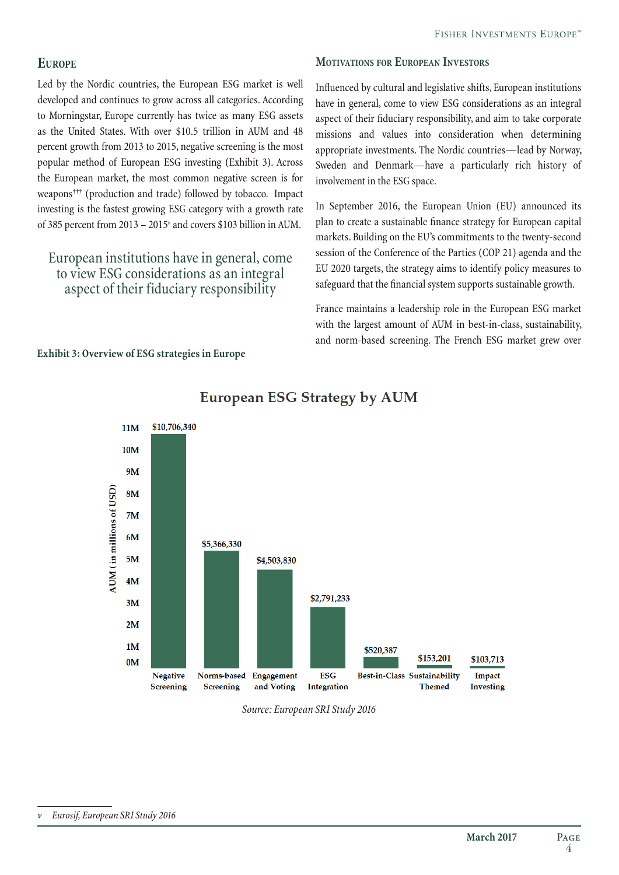# **Europe**

Led by the Nordic countries, the European ESG market is well developed and continues to grow across all categories. According to Morningstar, Europe currently has twice as many ESG assets as the United States. With over \$10.5 trillion in AUM and 48 percent growth from 2013 to 2015, negative screening is the most popular method of European ESG investing (Exhibit 3). Across the European market, the most common negative screen is for weapons††† (production and trade) followed by tobacco. Impact investing is the fastest growing ESG category with a growth rate of 385 percent from 2013 - 2015' and covers \$103 billion in AUM.

# European institutions have in general, come to view ESG considerations as an integral aspect of their fiduciary responsibility

**Exhibit 3: Overview of ESG strategies in Europe** 

## **Motivations for European Investors**

Influenced by cultural and legislative shifts, European institutions have in general, come to view ESG considerations as an integral aspect of their fiduciary responsibility, and aim to take corporate missions and values into consideration when determining appropriate investments. The Nordic countries—lead by Norway, Sweden and Denmark—have a particularly rich history of involvement in the ESG space.

In September 2016, the European Union (EU) announced its plan to create a sustainable finance strategy for European capital markets. Building on the EU's commitments to the twenty-second session of the Conference of the Parties (COP 21) agenda and the EU 2020 targets, the strategy aims to identify policy measures to safeguard that the financial system supports sustainable growth.

France maintains a leadership role in the European ESG market with the largest amount of AUM in best-in-class, sustainability, and norm-based screening. The French ESG market grew over



# **European ESG Strategy by AUM**

*Source: European SRI Study 2016*

*v Eurosif, European SRI Study 2016*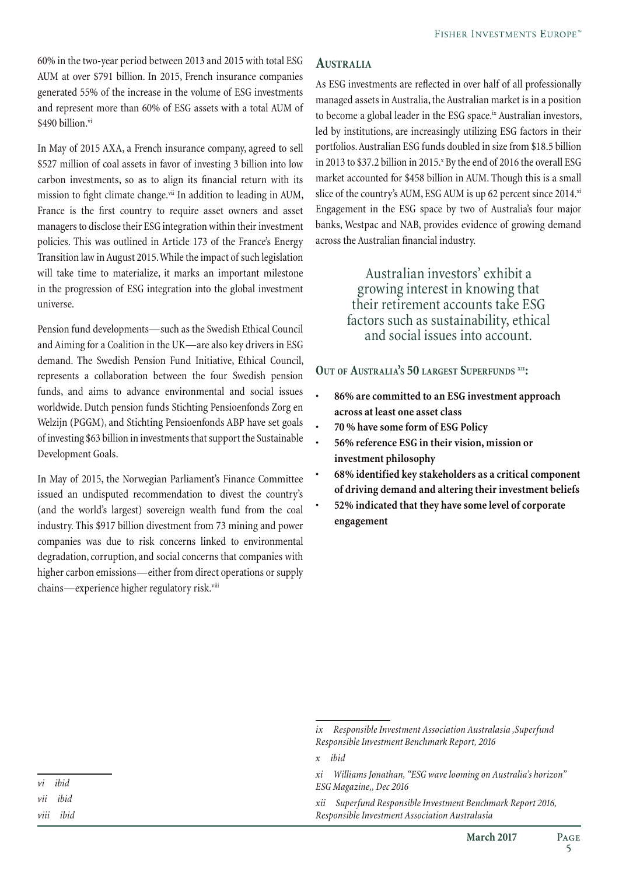60% in the two-year period between 2013 and 2015 with total ESG AUM at over \$791 billion. In 2015, French insurance companies generated 55% of the increase in the volume of ESG investments and represent more than 60% of ESG assets with a total AUM of \$490 billion $v$ 

In May of 2015 AXA, a French insurance company, agreed to sell \$527 million of coal assets in favor of investing 3 billion into low carbon investments, so as to align its financial return with its mission to fight climate change.<sup>vii</sup> In addition to leading in AUM, France is the first country to require asset owners and asset managers to disclose their ESG integration within their investment policies. This was outlined in Article 173 of the France's Energy Transition law in August 2015. While the impact of such legislation will take time to materialize, it marks an important milestone in the progression of ESG integration into the global investment universe.

Pension fund developments—such as the Swedish Ethical Council and Aiming for a Coalition in the UK—are also key drivers in ESG demand. The Swedish Pension Fund Initiative, Ethical Council, represents a collaboration between the four Swedish pension funds, and aims to advance environmental and social issues worldwide. Dutch pension funds Stichting Pensioenfonds Zorg en Welzijn (PGGM), and Stichting Pensioenfonds ABP have set goals of investing \$63 billion in investments that support the Sustainable Development Goals.

In May of 2015, the Norwegian Parliament's Finance Committee issued an undisputed recommendation to divest the country's (and the world's largest) sovereign wealth fund from the coal industry. This \$917 billion divestment from 73 mining and power companies was due to risk concerns linked to environmental degradation, corruption, and social concerns that companies with higher carbon emissions—either from direct operations or supply chains—experience higher regulatory risk.<sup>viii</sup>

# **Australia**

As ESG investments are reflected in over half of all professionally managed assets in Australia, the Australian market is in a position to become a global leader in the ESG space.<sup>ix</sup> Australian investors, led by institutions, are increasingly utilizing ESG factors in their portfolios. Australian ESG funds doubled in size from \$18.5 billion in 2013 to \$37.2 billion in 2015. $^{\circ}$  By the end of 2016 the overall ESG market accounted for \$458 billion in AUM. Though this is a small slice of the country's AUM, ESG AUM is up 62 percent since  $2014$ <sup>xi</sup> Engagement in the ESG space by two of Australia's four major banks, Westpac and NAB, provides evidence of growing demand across the Australian financial industry.

> Australian investors' exhibit a growing interest in knowing that their retirement accounts take ESG factors such as sustainability, ethical and social issues into account.

**Out of Australia's 50 largest Superfunds xii:** 

- **86% are committed to an ESG investment approach across at least one asset class**
- **70 % have some form of ESG Policy**
- **56% reference ESG in their vision, mission or investment philosophy**
- **68% identified key stakeholders as a critical component of driving demand and altering their investment beliefs**
- **52% indicated that they have some level of corporate engagement**

*vi ibid vii ibid*

*viii ibid*

*ix Responsible Investment Association Australasia ,Superfund Responsible Investment Benchmark Report, 2016*

*x ibid*

*xi Williams Jonathan, "ESG wave looming on Australia's horizon" ESG Magazine,, Dec 2016*

*xii Superfund Responsible Investment Benchmark Report 2016, Responsible Investment Association Australasia*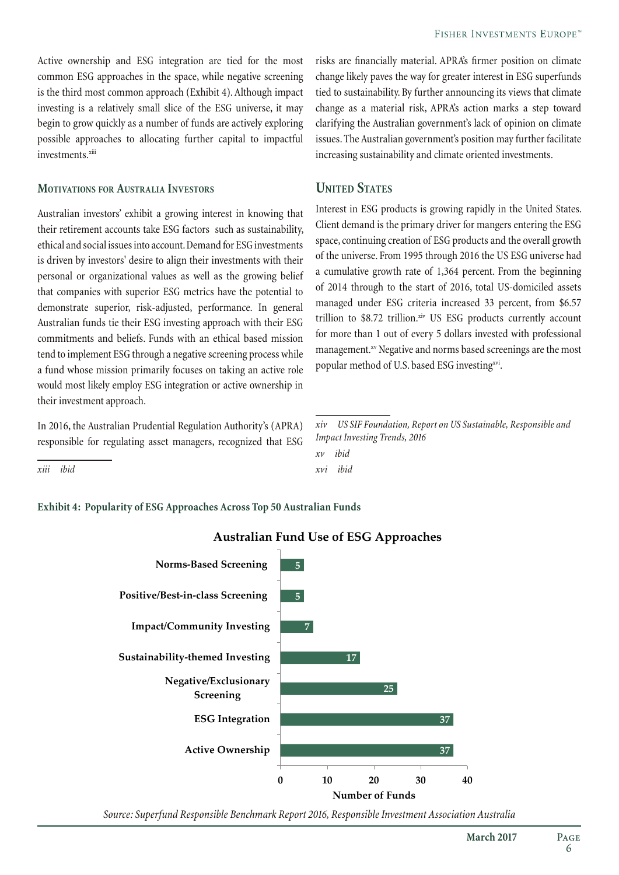Active ownership and ESG integration are tied for the most common ESG approaches in the space, while negative screening is the third most common approach (Exhibit 4). Although impact investing is a relatively small slice of the ESG universe, it may begin to grow quickly as a number of funds are actively exploring possible approaches to allocating further capital to impactful investments.<sup>xiii</sup>

## **Motivations for Australia Investors**

Australian investors' exhibit a growing interest in knowing that their retirement accounts take ESG factors such as sustainability, ethical and social issues into account. Demand for ESG investments is driven by investors' desire to align their investments with their personal or organizational values as well as the growing belief that companies with superior ESG metrics have the potential to demonstrate superior, risk-adjusted, performance. In general Australian funds tie their ESG investing approach with their ESG commitments and beliefs. Funds with an ethical based mission tend to implement ESG through a negative screening process while a fund whose mission primarily focuses on taking an active role would most likely employ ESG integration or active ownership in their investment approach.

In 2016, the Australian Prudential Regulation Authority's (APRA) responsible for regulating asset managers, recognized that ESG risks are financially material. APRA's firmer position on climate change likely paves the way for greater interest in ESG superfunds tied to sustainability. By further announcing its views that climate change as a material risk, APRA's action marks a step toward clarifying the Australian government's lack of opinion on climate issues. The Australian government's position may further facilitate increasing sustainability and climate oriented investments.

# **UNITED STATES**

Interest in ESG products is growing rapidly in the United States. Client demand is the primary driver for mangers entering the ESG space, continuing creation of ESG products and the overall growth of the universe. From 1995 through 2016 the US ESG universe had a cumulative growth rate of 1,364 percent. From the beginning of 2014 through to the start of 2016, total US-domiciled assets managed under ESG criteria increased 33 percent, from \$6.57 trillion to \$8.72 trillion.xiv US ESG products currently account for more than 1 out of every 5 dollars invested with professional management.<sup>xv</sup> Negative and norms based screenings are the most popular method of U.S. based ESG investingxvi.

*xiv US SIF Foundation, Report on US Sustainable, Responsible and Impact Investing Trends, 2016*

*xv ibid xvi ibid*

*xiii ibid*

## **Exhibit 4: Popularity of ESG Approaches Across Top 50 Australian Funds**



# **Australian Fund Use of ESG Approaches**

*Source: Superfund Responsible Benchmark Report 2016, Responsible Investment Association Australia*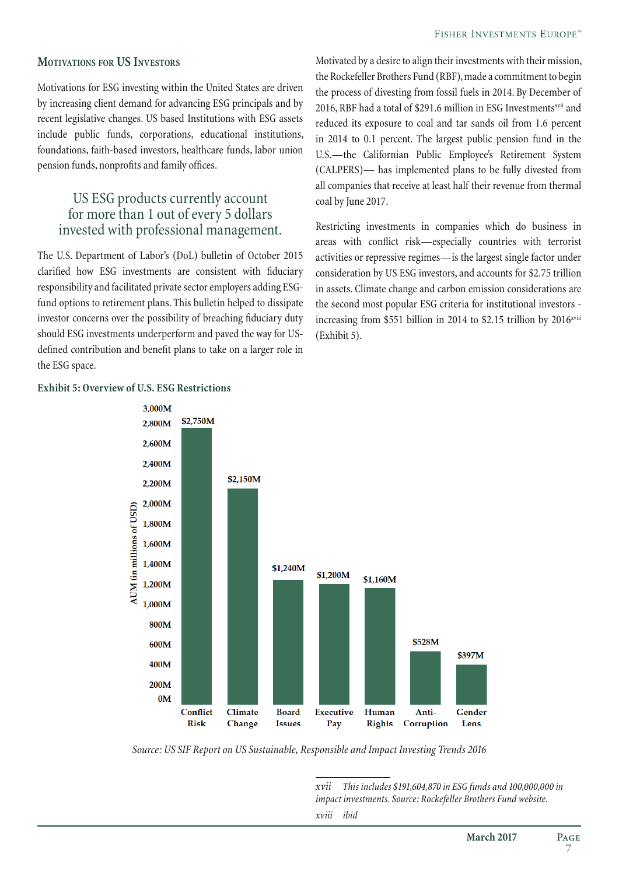## **Motivations for US Investors**

Motivations for ESG investing within the United States are driven by increasing client demand for advancing ESG principals and by recent legislative changes. US based Institutions with ESG assets include public funds, corporations, educational institutions, foundations, faith-based investors, healthcare funds, labor union pension funds, nonprofits and family offices.

# US ESG products currently account for more than 1 out of every 5 dollars invested with professional management.

The U.S. Department of Labor's (DoL) bulletin of October 2015 clarified how ESG investments are consistent with fiduciary responsibility and facilitated private sector employers adding ESGfund options to retirement plans. This bulletin helped to dissipate investor concerns over the possibility of breaching fiduciary duty should ESG investments underperform and paved the way for USdefined contribution and benefit plans to take on a larger role in the ESG space.

## **Exhibit 5: Overview of U.S. ESG Restrictions**

Motivated by a desire to align their investments with their mission, the Rockefeller Brothers Fund (RBF), made a commitment to begin the process of divesting from fossil fuels in 2014. By December of 2016, RBF had a total of \$291.6 million in ESG Investmentsxvii and reduced its exposure to coal and tar sands oil from 1.6 percent in 2014 to 0.1 percent. The largest public pension fund in the U.S.—the Californian Public Employee's Retirement System (CALPERS)— has implemented plans to be fully divested from all companies that receive at least half their revenue from thermal coal by June 2017.

Restricting investments in companies which do business in areas with conflict risk—especially countries with terrorist activities or repressive regimes—is the largest single factor under consideration by US ESG investors, and accounts for \$2.75 trillion in assets. Climate change and carbon emission considerations are the second most popular ESG criteria for institutional investors increasing from \$551 billion in 2014 to \$2.15 trillion by  $2016$ <sup>xviii</sup> (Exhibit 5).



*Source: US SIF Report on US Sustainable, Responsible and Impact Investing Trends 2016*

*xvii This includes \$191,604,870 in ESG funds and 100,000,000 in impact investments. Source: Rockefeller Brothers Fund website. xviii ibid*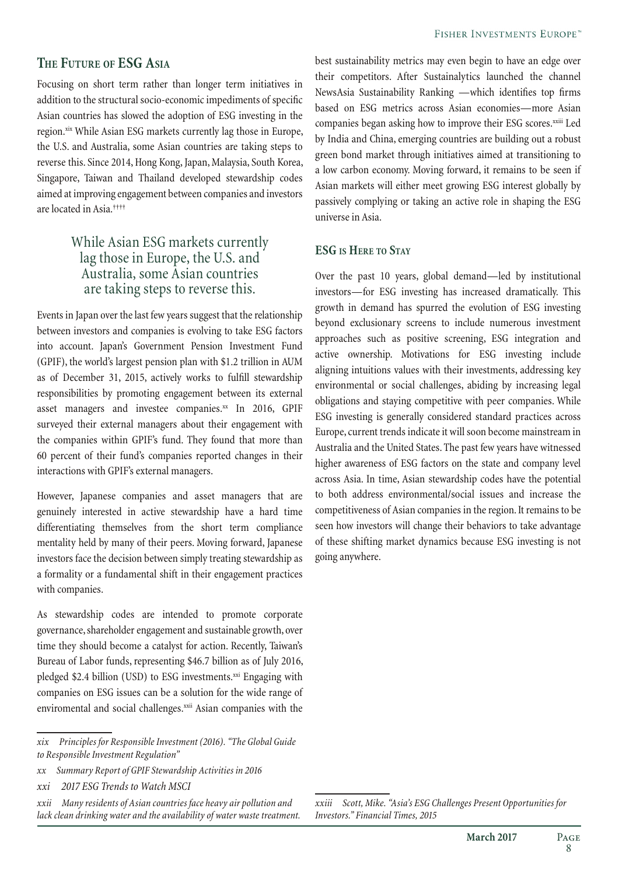# **The Future of ESG Asia**

Focusing on short term rather than longer term initiatives in addition to the structural socio-economic impediments of specific Asian countries has slowed the adoption of ESG investing in the region.<sup>xix</sup> While Asian ESG markets currently lag those in Europe, the U.S. and Australia, some Asian countries are taking steps to reverse this. Since 2014, Hong Kong, Japan, Malaysia, South Korea, Singapore, Taiwan and Thailand developed stewardship codes aimed at improving engagement between companies and investors are located in Asia.††††

# While Asian ESG markets currently lag those in Europe, the U.S. and Australia, some Asian countries are taking steps to reverse this.

Events in Japan over the last few years suggest that the relationship between investors and companies is evolving to take ESG factors into account. Japan's Government Pension Investment Fund (GPIF), the world's largest pension plan with \$1.2 trillion in AUM as of December 31, 2015, actively works to fulfill stewardship responsibilities by promoting engagement between its external asset managers and investee companies.xx In 2016, GPIF surveyed their external managers about their engagement with the companies within GPIF's fund. They found that more than 60 percent of their fund's companies reported changes in their interactions with GPIF's external managers.

However, Japanese companies and asset managers that are genuinely interested in active stewardship have a hard time differentiating themselves from the short term compliance mentality held by many of their peers. Moving forward, Japanese investors face the decision between simply treating stewardship as a formality or a fundamental shift in their engagement practices with companies.

As stewardship codes are intended to promote corporate governance, shareholder engagement and sustainable growth, over time they should become a catalyst for action. Recently, Taiwan's Bureau of Labor funds, representing \$46.7 billion as of July 2016, pledged \$2.4 billion (USD) to ESG investments.<sup>xxi</sup> Engaging with companies on ESG issues can be a solution for the wide range of enviromental and social challenges.<sup>xxii</sup> Asian companies with the

best sustainability metrics may even begin to have an edge over their competitors. After Sustainalytics launched the channel NewsAsia Sustainability Ranking —which identifies top firms based on ESG metrics across Asian economies—more Asian companies began asking how to improve their ESG scores.<sup>xxiii</sup> Led by India and China, emerging countries are building out a robust green bond market through initiatives aimed at transitioning to a low carbon economy. Moving forward, it remains to be seen if Asian markets will either meet growing ESG interest globally by passively complying or taking an active role in shaping the ESG universe in Asia.

## **ESG is Here to Stay**

Over the past 10 years, global demand—led by institutional investors—for ESG investing has increased dramatically. This growth in demand has spurred the evolution of ESG investing beyond exclusionary screens to include numerous investment approaches such as positive screening, ESG integration and active ownership. Motivations for ESG investing include aligning intuitions values with their investments, addressing key environmental or social challenges, abiding by increasing legal obligations and staying competitive with peer companies. While ESG investing is generally considered standard practices across Europe, current trends indicate it will soon become mainstream in Australia and the United States. The past few years have witnessed higher awareness of ESG factors on the state and company level across Asia. In time, Asian stewardship codes have the potential to both address environmental/social issues and increase the competitiveness of Asian companies in the region. It remains to be seen how investors will change their behaviors to take advantage of these shifting market dynamics because ESG investing is not going anywhere.

8

*xix Principles for Responsible Investment (2016). "The Global Guide to Responsible Investment Regulation"*

*xx Summary Report of GPIF Stewardship Activities in 2016*

*xxi 2017 ESG Trends to Watch MSCI*

*xxii Many residents of Asian countries face heavy air pollution and lack clean drinking water and the availability of water waste treatment.*

*xxiii Scott, Mike. "Asia's ESG Challenges Present Opportunities for Investors." Financial Times, 2015*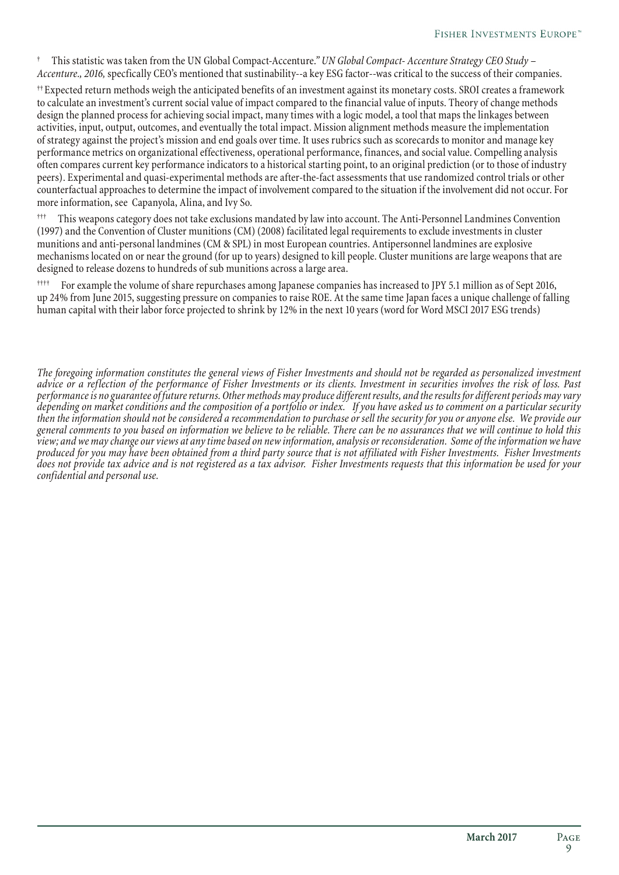† This statistic was taken from the UN Global Compact-Accenture.*" UN Global Compact- Accenture Strategy CEO Study – Accenture., 2016,* specfically CEO's mentioned that sustinability-*-*a key ESG factor--was critical to the success of their companies.

†† Expected return methods weigh the anticipated benefits of an investment against its monetary costs. SROI creates a framework to calculate an investment's current social value of impact compared to the financial value of inputs. Theory of change methods design the planned process for achieving social impact, many times with a logic model, a tool that maps the linkages between activities, input, output, outcomes, and eventually the total impact. Mission alignment methods measure the implementation of strategy against the project's mission and end goals over time. It uses rubrics such as scorecards to monitor and manage key performance metrics on organizational effectiveness, operational performance, finances, and social value. Compelling analysis often compares current key performance indicators to a historical starting point, to an original prediction (or to those of industry peers). Experimental and quasi-experimental methods are after-the-fact assessments that use randomized control trials or other counterfactual approaches to determine the impact of involvement compared to the situation if the involvement did not occur. For more information, see Capanyola, Alina, and Ivy So.

††† This weapons category does not take exclusions mandated by law into account. The Anti-Personnel Landmines Convention (1997) and the Convention of Cluster munitions (CM) (2008) facilitated legal requirements to exclude investments in cluster munitions and anti-personal landmines (CM & SPL) in most European countries. Antipersonnel landmines are explosive mechanisms located on or near the ground (for up to years) designed to kill people. Cluster munitions are large weapons that are designed to release dozens to hundreds of sub munitions across a large area.

†††† For example the volume of share repurchases among Japanese companies has increased to JPY 5.1 million as of Sept 2016, up 24% from June 2015, suggesting pressure on companies to raise ROE. At the same time Japan faces a unique challenge of falling human capital with their labor force projected to shrink by 12% in the next 10 years (word for Word MSCI 2017 ESG trends)

*The foregoing information constitutes the general views of Fisher Investments and should not be regarded as personalized investment advice or a reflection of the performance of Fisher Investments or its clients. Investment in securities involves the risk of loss. Past performance is no guarantee of future returns. Other methods may produce different results, and the results for different periods may vary depending on market conditions and the composition of a portfolio or index. If you have asked us to comment on a particular security then the information should not be considered a recommendation to purchase or sell the security for you or anyone else. We provide our general comments to you based on information we believe to be reliable. There can be no assurances that we will continue to hold this view; and we may change our views at any time based on new information, analysis or reconsideration. Some of the information we have produced for you may have been obtained from a third party source that is not affiliated with Fisher Investments. Fisher Investments does not provide tax advice and is not registered as a tax advisor. Fisher Investments requests that this information be used for your confidential and personal use.*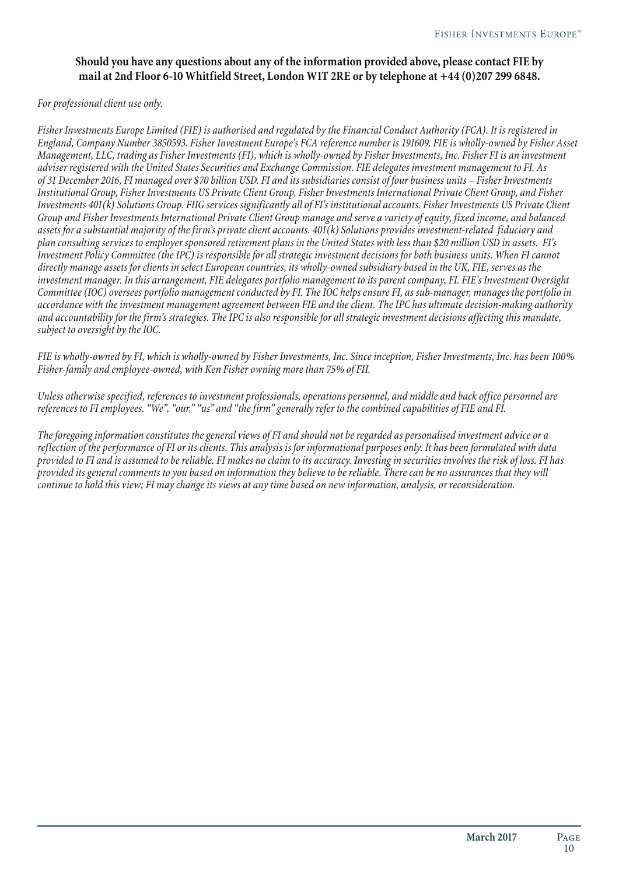## **Should you have any questions about any of the information provided above, please contact FIE by mail at 2nd Floor 6-10 Whitfield Street, London W1T 2RE or by telephone at +44 (0)207 299 6848.**

*For professional client use only.* 

*Fisher Investments Europe Limited (FIE) is authorised and regulated by the Financial Conduct Authority (FCA). It is registered in England, Company Number 3850593. Fisher Investment Europe's FCA reference number is 191609. FIE is wholly-owned by Fisher Asset Management, LLC, trading as Fisher Investments (FI), which is wholly-owned by Fisher Investments, Inc. Fisher FI is an investment adviser registered with the United States Securities and Exchange Commission. FIE delegates investment management to FI. As of 31 December 2016, FI managed over \$70 billion USD. FI and its subsidiaries consist of four business units – Fisher Investments Institutional Group, Fisher Investments US Private Client Group, Fisher Investments International Private Client Group, and Fisher Investments 401(k) Solutions Group. FIIG services significantly all of FI's institutional accounts. Fisher Investments US Private Client Group and Fisher Investments International Private Client Group manage and serve a variety of equity, fixed income, and balanced assets for a substantial majority of the firm's private client accounts. 401(k) Solutions provides investment-related fiduciary and plan consulting services to employer sponsored retirement plans in the United States with less than \$20 million USD in assets. FI's Investment Policy Committee (the IPC) is responsible for all strategic investment decisions for both business units. When FI cannot directly manage assets for clients in select European countries, its wholly-owned subsidiary based in the UK, FIE, serves as the investment manager. In this arrangement, FIE delegates portfolio management to its parent company, FI. FIE's Investment Oversight Committee (IOC) oversees portfolio management conducted by FI. The IOC helps ensure FI, as sub-manager, manages the portfolio in accordance with the investment management agreement between FIE and the client. The IPC has ultimate decision-making authority and accountability for the firm's strategies. The IPC is also responsible for all strategic investment decisions affecting this mandate, subject to oversight by the IOC.*

*FIE is wholly-owned by FI, which is wholly-owned by Fisher Investments, Inc. Since inception, Fisher Investments, Inc. has been 100% Fisher-family and employee-owned, with Ken Fisher owning more than 75% of FII.*

*Unless otherwise specified, references to investment professionals, operations personnel, and middle and back office personnel are references to FI employees. "We", "our," "us" and "the firm" generally refer to the combined capabilities of FIE and FI.*

*The foregoing information constitutes the general views of FI and should not be regarded as personalised investment advice or a reflection of the performance of FI or its clients. This analysis is for informational purposes only. It has been formulated with data provided to FI and is assumed to be reliable. FI makes no claim to its accuracy. Investing in securities involves the risk of loss. FI has provided its general comments to you based on information they believe to be reliable. There can be no assurances that they will continue to hold this view; FI may change its views at any time based on new information, analysis, or reconsideration.*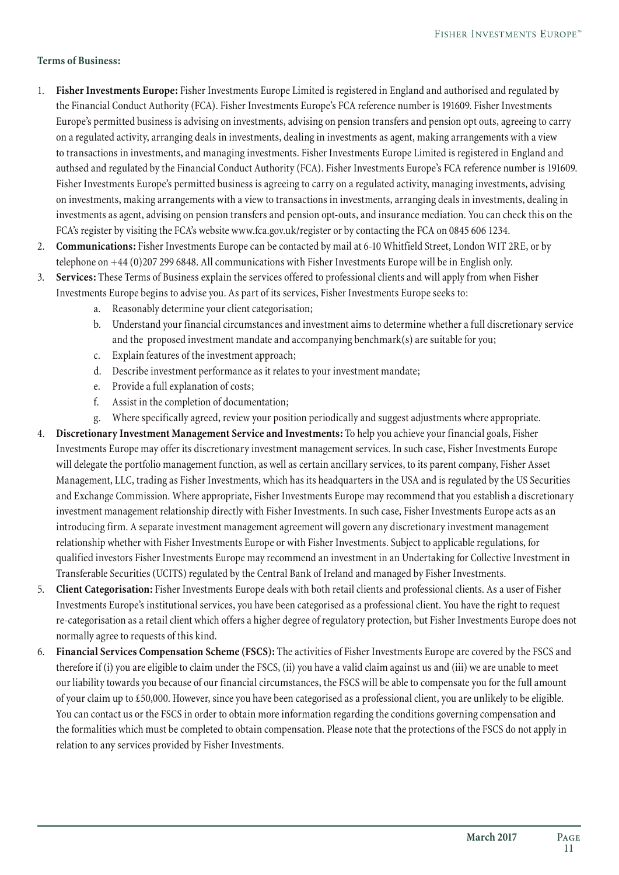## **Terms of Business:**

- 1. **Fisher Investments Europe:** Fisher Investments Europe Limited is registered in England and authorised and regulated by the Financial Conduct Authority (FCA). Fisher Investments Europe's FCA reference number is 191609. Fisher Investments Europe's permitted business is advising on investments, advising on pension transfers and pension opt outs, agreeing to carry on a regulated activity, arranging deals in investments, dealing in investments as agent, making arrangements with a view to transactions in investments, and managing investments. Fisher Investments Europe Limited is registered in England and authsed and regulated by the Financial Conduct Authority (FCA). Fisher Investments Europe's FCA reference number is 191609. Fisher Investments Europe's permitted business is agreeing to carry on a regulated activity, managing investments, advising on investments, making arrangements with a view to transactions in investments, arranging deals in investments, dealing in investments as agent, advising on pension transfers and pension opt-outs, and insurance mediation. You can check this on the FCA's register by visiting the FCA's website www.fca.gov.uk/register or by contacting the FCA on 0845 606 1234.
- 2. **Communications:** Fisher Investments Europe can be contacted by mail at 6-10 Whitfield Street, London W1T 2RE, or by telephone on +44 (0)207 299 6848. All communications with Fisher Investments Europe will be in English only.
- 3. **Services:** These Terms of Business explain the services offered to professional clients and will apply from when Fisher Investments Europe begins to advise you. As part of its services, Fisher Investments Europe seeks to:
	- a. Reasonably determine your client categorisation;
	- b. Understand your financial circumstances and investment aims to determine whether a full discretionary service and the proposed investment mandate and accompanying benchmark(s) are suitable for you;
	- c. Explain features of the investment approach;
	- d. Describe investment performance as it relates to your investment mandate;
	- e. Provide a full explanation of costs;
	- f. Assist in the completion of documentation;
	- g. Where specifically agreed, review your position periodically and suggest adjustments where appropriate.
- 4. **Discretionary Investment Management Service and Investments:** To help you achieve your financial goals, Fisher Investments Europe may offer its discretionary investment management services. In such case, Fisher Investments Europe will delegate the portfolio management function, as well as certain ancillary services, to its parent company, Fisher Asset Management, LLC, trading as Fisher Investments, which has its headquarters in the USA and is regulated by the US Securities and Exchange Commission. Where appropriate, Fisher Investments Europe may recommend that you establish a discretionary investment management relationship directly with Fisher Investments. In such case, Fisher Investments Europe acts as an introducing firm. A separate investment management agreement will govern any discretionary investment management relationship whether with Fisher Investments Europe or with Fisher Investments. Subject to applicable regulations, for qualified investors Fisher Investments Europe may recommend an investment in an Undertaking for Collective Investment in Transferable Securities (UCITS) regulated by the Central Bank of Ireland and managed by Fisher Investments.
- 5. **Client Categorisation:** Fisher Investments Europe deals with both retail clients and professional clients. As a user of Fisher Investments Europe's institutional services, you have been categorised as a professional client. You have the right to request re-categorisation as a retail client which offers a higher degree of regulatory protection, but Fisher Investments Europe does not normally agree to requests of this kind.
- 6. **Financial Services Compensation Scheme (FSCS):** The activities of Fisher Investments Europe are covered by the FSCS and therefore if (i) you are eligible to claim under the FSCS, (ii) you have a valid claim against us and (iii) we are unable to meet our liability towards you because of our financial circumstances, the FSCS will be able to compensate you for the full amount of your claim up to £50,000. However, since you have been categorised as a professional client, you are unlikely to be eligible. You can contact us or the FSCS in order to obtain more information regarding the conditions governing compensation and the formalities which must be completed to obtain compensation. Please note that the protections of the FSCS do not apply in relation to any services provided by Fisher Investments.